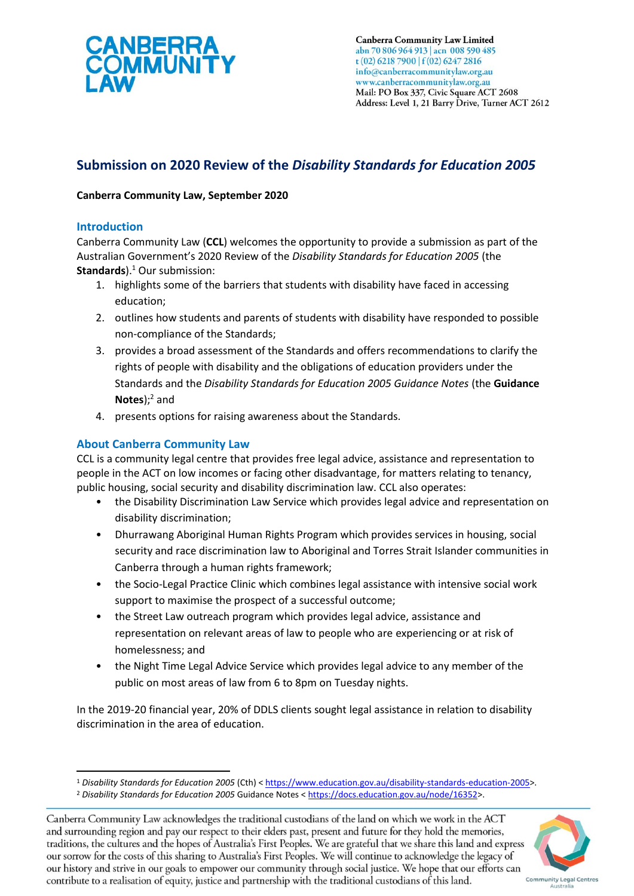

**Canberra Community Law Limited** abn 70 806 964 913 | acn 008 590 485 t (02) 6218 7900 | f (02) 6247 2816 info@canberracommunitylaw.org.au www.canberracommunitylaw.org.au Mail: PO Box 337, Civic Square ACT 2608 Address: Level 1, 21 Barry Drive, Turner ACT 2612

# **Submission on 2020 Review of the** *Disability Standards for Education 2005*

# **Canberra Community Law, September 2020**

# **Introduction**

Canberra Community Law (**CCL**) welcomes the opportunity to provide a submission as part of the Australian Government's 2020 Review of the *Disability Standards for Education 2005* (the **Standards**). <sup>1</sup> Our submission:

- 1. highlights some of the barriers that students with disability have faced in accessing education;
- 2. outlines how students and parents of students with disability have responded to possible non-compliance of the Standards;
- 3. provides a broad assessment of the Standards and offers recommendations to clarify the rights of people with disability and the obligations of education providers under the Standards and the *Disability Standards for Education 2005 Guidance Notes* (the **Guidance Notes**); <sup>2</sup> and
- 4. presents options for raising awareness about the Standards.

# **About Canberra Community Law**

CCL is a community legal centre that provides free legal advice, assistance and representation to people in the ACT on low incomes or facing other disadvantage, for matters relating to tenancy, public housing, social security and disability discrimination law. CCL also operates:

- the Disability Discrimination Law Service which provides legal advice and representation on disability discrimination;
- Dhurrawang Aboriginal Human Rights Program which provides services in housing, social security and race discrimination law to Aboriginal and Torres Strait Islander communities in Canberra through a human rights framework;
- the Socio-Legal Practice Clinic which combines legal assistance with intensive social work support to maximise the prospect of a successful outcome;
- the Street Law outreach program which provides legal advice, assistance and representation on relevant areas of law to people who are experiencing or at risk of homelessness; and
- the Night Time Legal Advice Service which provides legal advice to any member of the public on most areas of law from 6 to 8pm on Tuesday nights.

In the 2019-20 financial year, 20% of DDLS clients sought legal assistance in relation to disability discrimination in the area of education.

Canberra Community Law acknowledges the traditional custodians of the land on which we work in the ACT and surrounding region and pay our respect to their elders past, present and future for they hold the memories, traditions, the cultures and the hopes of Australia's First Peoples. We are grateful that we share this land and express our sorrow for the costs of this sharing to Australia's First Peoples. We will continue to acknowledge the legacy of our history and strive in our goals to empower our community through social justice. We hope that our efforts can contribute to a realisation of equity, justice and partnership with the traditional custodians of this land.



<sup>1</sup> *Disability Standards for Education 2005* (Cth) < [https://www.education.gov.au/disability-standards-education-2005>](https://www.education.gov.au/disability-standards-education-2005).

<sup>2</sup> *Disability Standards for Education 2005* Guidance Notes < [https://docs.education.gov.au/node/16352>](https://docs.education.gov.au/node/16352).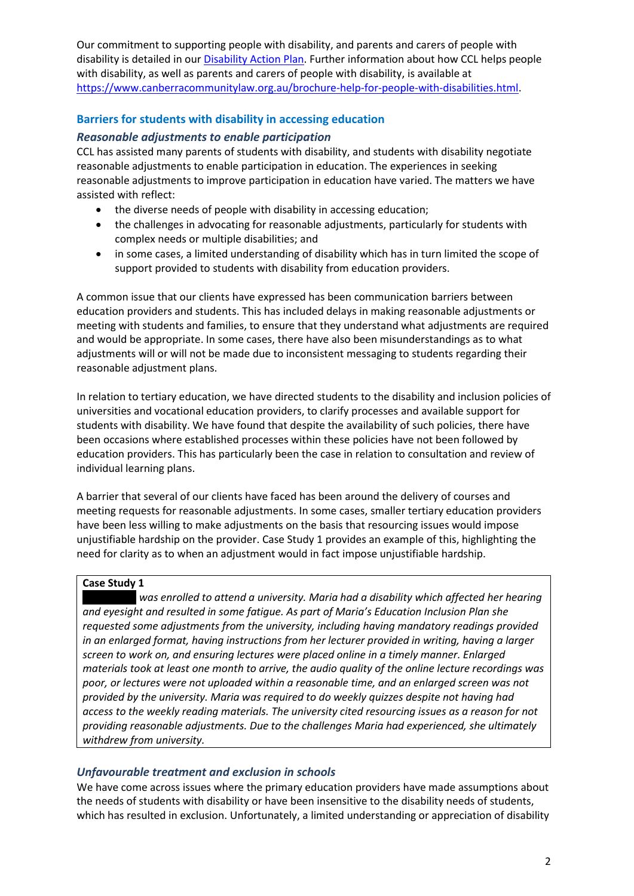Our commitment to supporting people with disability, and parents and carers of people with disability is detailed in ou[r Disability Action Plan.](file:///C:/Users/GenevieveBolton/AppData/Local/Microsoft/Windows/INetCache/Content.Outlook/5MCQ3BHK/our%20commitment%20to%20supporting%20people%20with%20disability,%20and%20parents%20and%20carers%20of%20people%20with%20disability) Further information about how CCL helps people with disability, as well as parents and carers of people with disability, is available at [https://www.canberracommunitylaw.org.au/brochure-help-for-people-with-disabilities.html.](https://www.canberracommunitylaw.org.au/brochure-help-for-people-with-disabilities.html)

# **Barriers for students with disability in accessing education**

### *Reasonable adjustments to enable participation*

CCL has assisted many parents of students with disability, and students with disability negotiate reasonable adjustments to enable participation in education. The experiences in seeking reasonable adjustments to improve participation in education have varied. The matters we have assisted with reflect:

- the diverse needs of people with disability in accessing education;
- the challenges in advocating for reasonable adjustments, particularly for students with complex needs or multiple disabilities; and
- in some cases, a limited understanding of disability which has in turn limited the scope of support provided to students with disability from education providers.

A common issue that our clients have expressed has been communication barriers between education providers and students. This has included delays in making reasonable adjustments or meeting with students and families, to ensure that they understand what adjustments are required and would be appropriate. In some cases, there have also been misunderstandings as to what adjustments will or will not be made due to inconsistent messaging to students regarding their reasonable adjustment plans.

In relation to tertiary education, we have directed students to the disability and inclusion policies of universities and vocational education providers, to clarify processes and available support for students with disability. We have found that despite the availability of such policies, there have been occasions where established processes within these policies have not been followed by education providers. This has particularly been the case in relation to consultation and review of individual learning plans.

A barrier that several of our clients have faced has been around the delivery of courses and meeting requests for reasonable adjustments. In some cases, smaller tertiary education providers have been less willing to make adjustments on the basis that resourcing issues would impose unjustifiable hardship on the provider. Case Study 1 provides an example of this, highlighting the need for clarity as to when an adjustment would in fact impose unjustifiable hardship.

#### **Case Study 1**

**was enrolled to attend a university. Maria had a disability which affected her hearing** *and eyesight and resulted in some fatigue. As part of Maria's Education Inclusion Plan she requested some adjustments from the university, including having mandatory readings provided in an enlarged format, having instructions from her lecturer provided in writing, having a larger screen to work on, and ensuring lectures were placed online in a timely manner. Enlarged materials took at least one month to arrive, the audio quality of the online lecture recordings was poor, or lectures were not uploaded within a reasonable time, and an enlarged screen was not provided by the university. Maria was required to do weekly quizzes despite not having had access to the weekly reading materials. The university cited resourcing issues as a reason for not providing reasonable adjustments. Due to the challenges Maria had experienced, she ultimately withdrew from university.*

# *Unfavourable treatment and exclusion in schools*

We have come across issues where the primary education providers have made assumptions about the needs of students with disability or have been insensitive to the disability needs of students, which has resulted in exclusion. Unfortunately, a limited understanding or appreciation of disability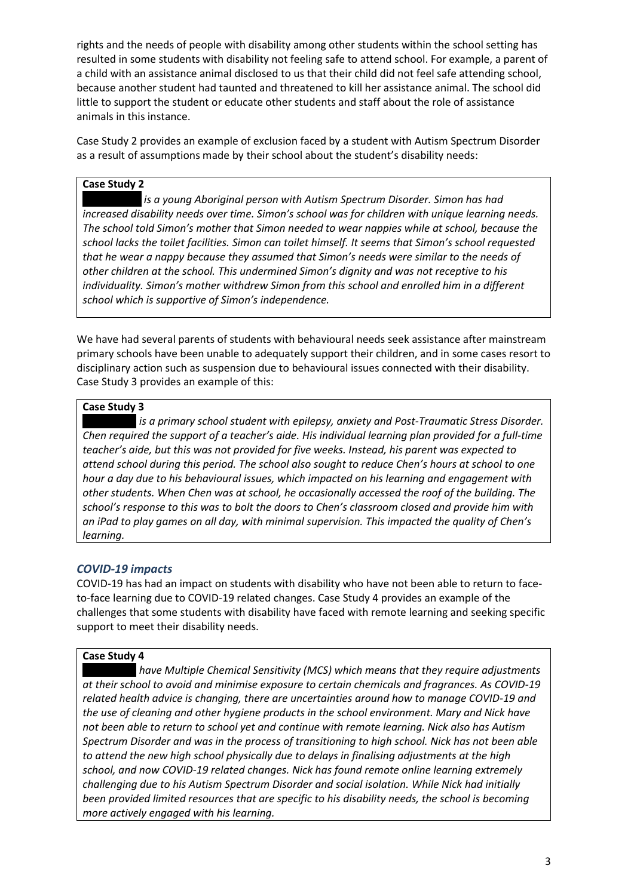rights and the needs of people with disability among other students within the school setting has resulted in some students with disability not feeling safe to attend school. For example, a parent of a child with an assistance animal disclosed to us that their child did not feel safe attending school, because another student had taunted and threatened to kill her assistance animal. The school did little to support the student or educate other students and staff about the role of assistance animals in this instance.

Case Study 2 provides an example of exclusion faced by a student with Autism Spectrum Disorder as a result of assumptions made by their school about the student's disability needs:

# **Case Study 2**

**is a young Aboriginal person with Autism Spectrum Disorder. Simon has had** *increased disability needs over time. Simon's school was for children with unique learning needs. The school told Simon's mother that Simon needed to wear nappies while at school, because the school lacks the toilet facilities. Simon can toilet himself. It seems that Simon's school requested that he wear a nappy because they assumed that Simon's needs were similar to the needs of other children at the school. This undermined Simon's dignity and was not receptive to his individuality. Simon's mother withdrew Simon from this school and enrolled him in a different school which is supportive of Simon's independence.*

We have had several parents of students with behavioural needs seek assistance after mainstream primary schools have been unable to adequately support their children, and in some cases resort to disciplinary action such as suspension due to behavioural issues connected with their disability. Case Study 3 provides an example of this:

#### **Case Study 3**

*is a primary school student with epilepsy, anxiety and Post-Traumatic Stress Disorder. Chen required the support of a teacher's aide. His individual learning plan provided for a full-time teacher's aide, but this was not provided for five weeks. Instead, his parent was expected to attend school during this period. The school also sought to reduce Chen's hours at school to one hour a day due to his behavioural issues, which impacted on his learning and engagement with other students. When Chen was at school, he occasionally accessed the roof of the building. The school's response to this was to bolt the doors to Chen's classroom closed and provide him with an iPad to play games on all day, with minimal supervision. This impacted the quality of Chen's learning.*

# *COVID-19 impacts*

COVID-19 has had an impact on students with disability who have not been able to return to faceto-face learning due to COVID-19 related changes. Case Study 4 provides an example of the challenges that some students with disability have faced with remote learning and seeking specific support to meet their disability needs.

#### **Case Study 4**

have Multiple Chemical Sensitivity (MCS) which means that they require adjustments *at their school to avoid and minimise exposure to certain chemicals and fragrances. As COVID-19 related health advice is changing, there are uncertainties around how to manage COVID-19 and the use of cleaning and other hygiene products in the school environment. Mary and Nick have not been able to return to school yet and continue with remote learning. Nick also has Autism Spectrum Disorder and was in the process of transitioning to high school. Nick has not been able to attend the new high school physically due to delays in finalising adjustments at the high school, and now COVID-19 related changes. Nick has found remote online learning extremely challenging due to his Autism Spectrum Disorder and social isolation. While Nick had initially been provided limited resources that are specific to his disability needs, the school is becoming more actively engaged with his learning.*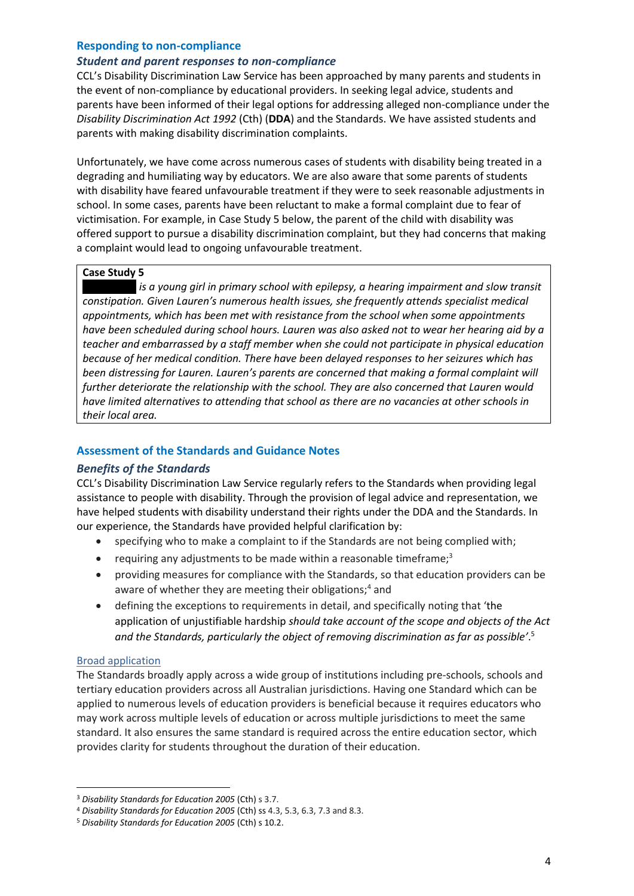# **Responding to non-compliance**

#### *Student and parent responses to non-compliance*

CCL's Disability Discrimination Law Service has been approached by many parents and students in the event of non-compliance by educational providers. In seeking legal advice, students and parents have been informed of their legal options for addressing alleged non-compliance under the *Disability Discrimination Act 1992* (Cth) (**DDA**) and the Standards. We have assisted students and parents with making disability discrimination complaints.

Unfortunately, we have come across numerous cases of students with disability being treated in a degrading and humiliating way by educators. We are also aware that some parents of students with disability have feared unfavourable treatment if they were to seek reasonable adjustments in school. In some cases, parents have been reluctant to make a formal complaint due to fear of victimisation. For example, in Case Study 5 below, the parent of the child with disability was offered support to pursue a disability discrimination complaint, but they had concerns that making a complaint would lead to ongoing unfavourable treatment.

# **Case Study 5**

*is a young girl in primary school with epilepsy, a hearing impairment and slow transit constipation. Given Lauren's numerous health issues, she frequently attends specialist medical appointments, which has been met with resistance from the school when some appointments have been scheduled during school hours. Lauren was also asked not to wear her hearing aid by a teacher and embarrassed by a staff member when she could not participate in physical education because of her medical condition. There have been delayed responses to her seizures which has been distressing for Lauren. Lauren's parents are concerned that making a formal complaint will further deteriorate the relationship with the school. They are also concerned that Lauren would have limited alternatives to attending that school as there are no vacancies at other schools in their local area.* 

# **Assessment of the Standards and Guidance Notes**

# *Benefits of the Standards*

CCL's Disability Discrimination Law Service regularly refers to the Standards when providing legal assistance to people with disability. Through the provision of legal advice and representation, we have helped students with disability understand their rights under the DDA and the Standards. In our experience, the Standards have provided helpful clarification by:

- specifying who to make a complaint to if the Standards are not being complied with;
- requiring any adjustments to be made within a reasonable timeframe; $3$
- providing measures for compliance with the Standards, so that education providers can be aware of whether they are meeting their obligations;<sup>4</sup> and
- defining the exceptions to requirements in detail, and specifically noting that 'the application of unjustifiable hardship *should take account of the scope and objects of the Act and the Standards, particularly the object of removing discrimination as far as possible'*. 5

#### Broad application

The Standards broadly apply across a wide group of institutions including pre-schools, schools and tertiary education providers across all Australian jurisdictions. Having one Standard which can be applied to numerous levels of education providers is beneficial because it requires educators who may work across multiple levels of education or across multiple jurisdictions to meet the same standard. It also ensures the same standard is required across the entire education sector, which provides clarity for students throughout the duration of their education.

<sup>3</sup> *Disability Standards for Education 2005* (Cth) s 3.7.

<sup>4</sup> *Disability Standards for Education 2005* (Cth) ss 4.3, 5.3, 6.3, 7.3 and 8.3.

<sup>5</sup> *Disability Standards for Education 2005* (Cth) s 10.2.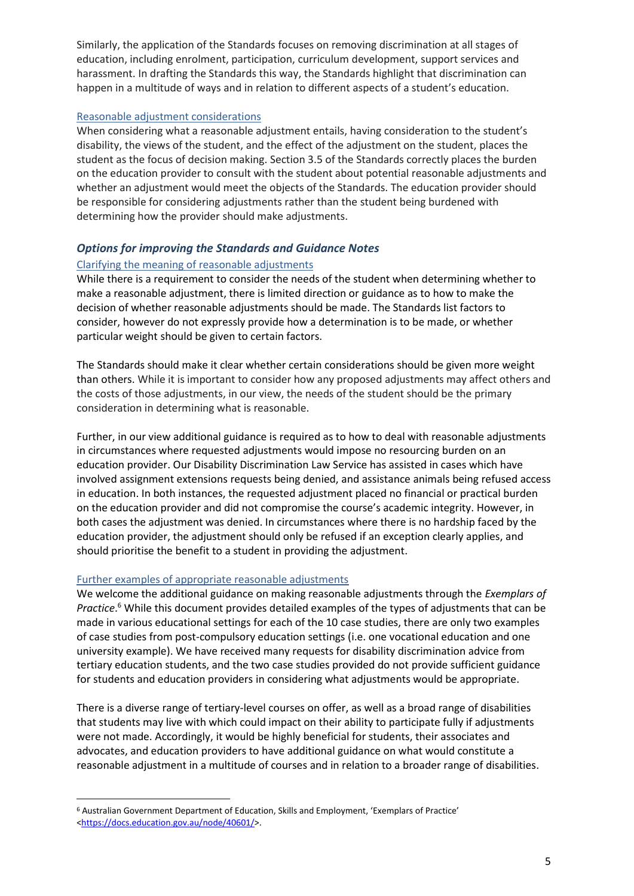Similarly, the application of the Standards focuses on removing discrimination at all stages of education, including enrolment, participation, curriculum development, support services and harassment. In drafting the Standards this way, the Standards highlight that discrimination can happen in a multitude of ways and in relation to different aspects of a student's education.

#### Reasonable adjustment considerations

When considering what a reasonable adjustment entails, having consideration to the student's disability, the views of the student, and the effect of the adjustment on the student, places the student as the focus of decision making. Section 3.5 of the Standards correctly places the burden on the education provider to consult with the student about potential reasonable adjustments and whether an adjustment would meet the objects of the Standards. The education provider should be responsible for considering adjustments rather than the student being burdened with determining how the provider should make adjustments.

# *Options for improving the Standards and Guidance Notes*

# Clarifying the meaning of reasonable adjustments

While there is a requirement to consider the needs of the student when determining whether to make a reasonable adjustment, there is limited direction or guidance as to how to make the decision of whether reasonable adjustments should be made. The Standards list factors to consider, however do not expressly provide how a determination is to be made, or whether particular weight should be given to certain factors.

The Standards should make it clear whether certain considerations should be given more weight than others. While it is important to consider how any proposed adjustments may affect others and the costs of those adjustments, in our view, the needs of the student should be the primary consideration in determining what is reasonable.

Further, in our view additional guidance is required as to how to deal with reasonable adjustments in circumstances where requested adjustments would impose no resourcing burden on an education provider. Our Disability Discrimination Law Service has assisted in cases which have involved assignment extensions requests being denied, and assistance animals being refused access in education. In both instances, the requested adjustment placed no financial or practical burden on the education provider and did not compromise the course's academic integrity. However, in both cases the adjustment was denied. In circumstances where there is no hardship faced by the education provider, the adjustment should only be refused if an exception clearly applies, and should prioritise the benefit to a student in providing the adjustment.

# Further examples of appropriate reasonable adjustments

We welcome the additional guidance on making reasonable adjustments through the *Exemplars of Practice*. <sup>6</sup> While this document provides detailed examples of the types of adjustments that can be made in various educational settings for each of the 10 case studies, there are only two examples of case studies from post-compulsory education settings (i.e. one vocational education and one university example). We have received many requests for disability discrimination advice from tertiary education students, and the two case studies provided do not provide sufficient guidance for students and education providers in considering what adjustments would be appropriate.

There is a diverse range of tertiary-level courses on offer, as well as a broad range of disabilities that students may live with which could impact on their ability to participate fully if adjustments were not made. Accordingly, it would be highly beneficial for students, their associates and advocates, and education providers to have additional guidance on what would constitute a reasonable adjustment in a multitude of courses and in relation to a broader range of disabilities.

<sup>6</sup> Australian Government Department of Education, Skills and Employment, 'Exemplars of Practice' [<https://docs.education.gov.au/node/40601/>](https://docs.education.gov.au/node/40601/).